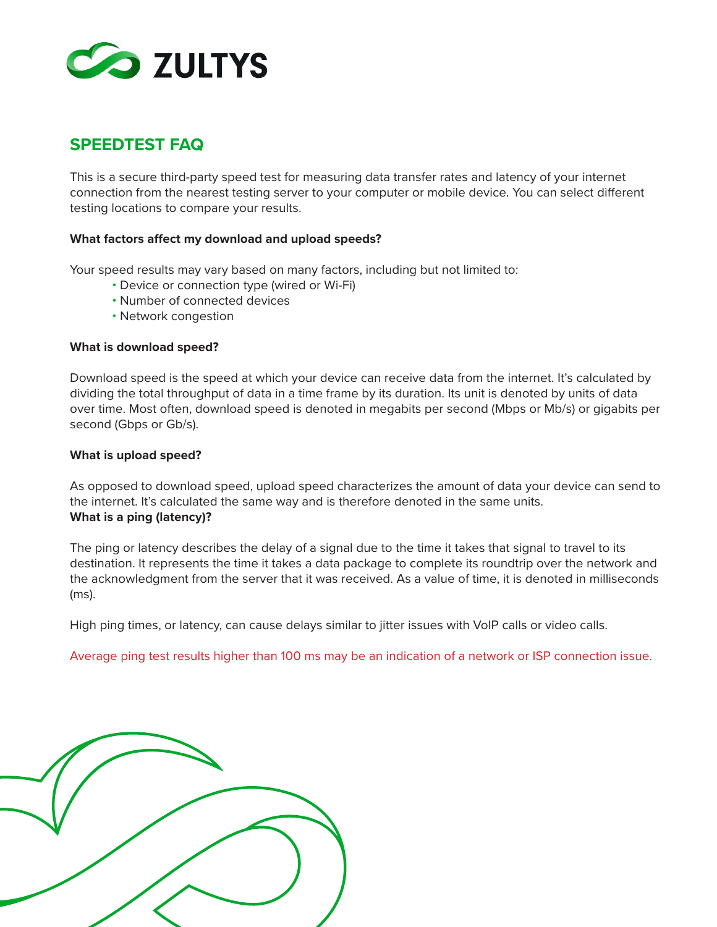

# **SPEEDTEST FAQ**

This is a secure third-party speed test for measuring data transfer rates and latency of your internet connection from the nearest testing server to your computer or mobile device. You can select different testing locations to compare your results.

## **What factors affect my download and upload speeds?**

Your speed results may vary based on many factors, including but not limited to:

- Device or connection type (wired or Wi-Fi)
- Number of connected devices
- Network congestion

## **What is download speed?**

Download speed is the speed at which your device can receive data from the internet. It's calculated by dividing the total throughput of data in a time frame by its duration. Its unit is denoted by units of data over time. Most often, download speed is denoted in megabits per second (Mbps or Mb/s) or gigabits per second (Gbps or Gb/s).

## **What is upload speed?**

As opposed to download speed, upload speed characterizes the amount of data your device can send to the internet. It's calculated the same way and is therefore denoted in the same units. **What is a ping (latency)?**

The ping or latency describes the delay of a signal due to the time it takes that signal to travel to its destination. It represents the time it takes a data package to complete its roundtrip over the network and the acknowledgment from the server that it was received. As a value of time, it is denoted in milliseconds (ms).

High ping times, or latency, can cause delays similar to jitter issues with VoIP calls or video calls.

Average ping test results higher than 100 ms may be an indication of a network or ISP connection issue.